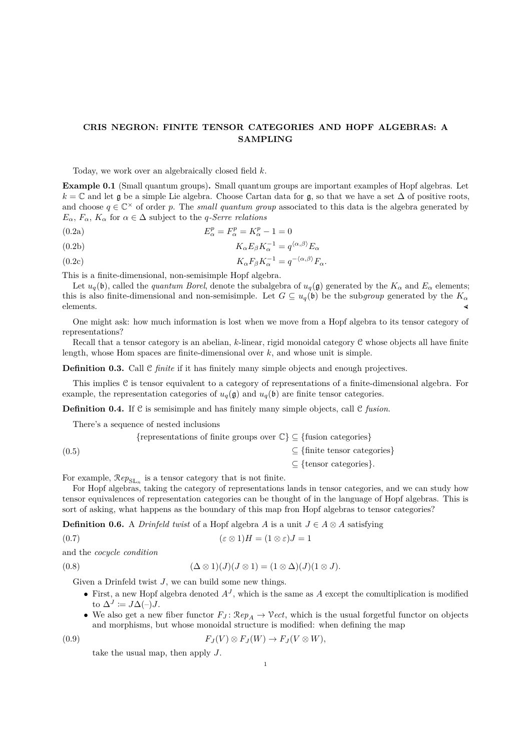## **CRIS NEGRON: FINITE TENSOR CATEGORIES AND HOPF ALGEBRAS: A SAMPLING**

Today, we work over an algebraically closed field *k*.

**Example 0.1** (Small quantum groups)**.** Small quantum groups are important examples of Hopf algebras. Let  $k = \mathbb{C}$  and let g be a simple Lie algebra. Choose Cartan data for g, so that we have a set  $\Delta$  of positive roots, and choose  $q \in \mathbb{C}^{\times}$  of order *p*. The *small quantum group* associated to this data is the algebra generated by  $E_{\alpha}$ ,  $F_{\alpha}$ ,  $K_{\alpha}$  for  $\alpha \in \Delta$  subject to the *q-Serre relations* 

$$
E_{\alpha}^p = F_{\alpha}^p = K_{\alpha}^p - 1 = 0
$$

(0.2b) 
$$
K_{\alpha}E_{\beta}K_{\alpha}^{-1} = q^{\langle \alpha, \beta \rangle}E_{\alpha}
$$

(0.2c) 
$$
K_{\alpha}F_{\beta}K_{\alpha}^{-1} = q^{-\langle \alpha, \beta \rangle}F_{\alpha}.
$$

This is a finite-dimensional, non-semisimple Hopf algebra.

Let  $u_q(\mathfrak{b})$ , called the *quantum Borel*, denote the subalgebra of  $u_q(\mathfrak{g})$  generated by the  $K_\alpha$  and  $E_\alpha$  elements; this is also finite-dimensional and non-semisimple. Let  $G \subseteq u_q(\mathfrak{b})$  be the sub*group* generated by the  $K_\alpha$  elements. elements.  $\triangleleft$ 

One might ask: how much information is lost when we move from a Hopf algebra to its tensor category of representations?

Recall that a tensor category is an abelian, *k*-linear, rigid monoidal category C whose objects all have finite length, whose Hom spaces are finite-dimensional over *k*, and whose unit is simple.

**Definition 0.3.** Call C *finite* if it has finitely many simple objects and enough projectives.

This implies C is tensor equivalent to a category of representations of a finite-dimensional algebra. For example, the representation categories of  $u_q(\mathfrak{g})$  and  $u_q(\mathfrak{b})$  are finite tensor categories.

**Definition 0.4.** If C is semisimple and has finitely many simple objects, call C *fusion*.

There's a sequence of nested inclusions

|       | {representations of finite groups over $\mathbb{C}\}\subseteq\{\text{fusion categories}\}\$ |
|-------|---------------------------------------------------------------------------------------------|
| (0.5) | $\subseteq$ {finite tensor categories}                                                      |
|       | $\subseteq$ {tensor categories}.                                                            |

For example,  $\mathcal{R}ep_{\mathrm{SL}_n}$  is a tensor category that is not finite.

For Hopf algebras, taking the category of representations lands in tensor categories, and we can study how tensor equivalences of representation categories can be thought of in the language of Hopf algebras. This is sort of asking, what happens as the boundary of this map fron Hopf algebras to tensor categories?

**Definition 0.6.** A *Drinfeld twist* of a Hopf algebra *A* is a unit  $J \in A \otimes A$  satisfying

$$
(0.7) \qquad (\varepsilon \otimes 1)H = (1 \otimes \varepsilon)J = 1
$$

and the *cocycle condition*

(0.8) 
$$
(\Delta \otimes 1)(J)(J \otimes 1) = (1 \otimes \Delta)(J)(1 \otimes J).
$$

Given a Drinfeld twist *J*, we can build some new things.

- First, a new Hopf algebra denoted  $A<sup>J</sup>$ , which is the same as *A* except the comultiplication is modified to  $\Delta^J \coloneqq J \Delta(-) J$ .
- We also get a new fiber functor  $F_J$ :  $\mathcal{R}ep_A \to \mathcal{V}ect$ , which is the usual forgetful functor on objects and morphisms, but whose monoidal structure is modified: when defining the map

$$
(0.9) \t\t\t F_J(V) \otimes F_J(W) \to F_J(V \otimes W),
$$

take the usual map, then apply *J*.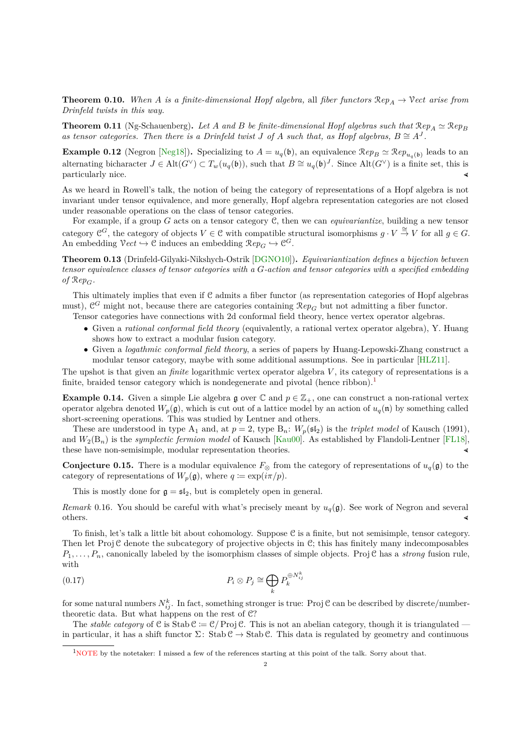**Theorem 0.10.** When A is a finite-dimensional Hopf algebra, all fiber functors  $\mathcal{R}ep_A \to \mathcal{V}ect$  arise from *Drinfeld twists in this way.*

**Theorem 0.11** (Ng-Schauenberg). Let A and B be finite-dimensional Hopf algebras such that  $\mathcal{R}e_{p_A} \simeq \mathcal{R}e_{p_B}$ as tensor categories. Then there is a Drinfeld twist *J* of *A* such that, as Hopf algebras,  $B \cong A<sup>J</sup>$ .

**Example 0.12** (Negron [Neg18]). Specializing to  $A = u_q(\mathfrak{b})$ , an equivalence  $\mathcal{R}ep_B \simeq \mathcal{R}ep_{u_q(\mathfrak{b})}$  leads to an alternating bicharacter  $J \in \text{Alt}(G^{\vee}) \subset T_w(u_q(\mathfrak{b}))$ , such that  $B \cong u_q(\mathfrak{b})^J$ . Since  $\text{Alt}(G^{\vee})$  is a finite set, this is particularly nice.

As we heard in Rowell's talk, the notion of being the category of representations of a Hopf algebra is not invariant under tensor equivalence, and more generally, Hopf algebra representation categories are not closed under reasonable operations on the class of tensor categories.

For example, if a group *G* acts on a tensor category C, then we can *equivariantize*, building a new tensor category  $\mathfrak{C}^G$ , the category of objects  $V \in \mathfrak{C}$  with compatible structural isomorphisms  $g \cdot V \stackrel{\cong}{\to} V$  for all  $g \in G$ . An embedding  $\mathcal{V}ect \hookrightarrow \mathcal{C}$  induces an embedding  $\mathcal{R}ep_G \hookrightarrow \mathcal{C}^G$ .

**Theorem 0.13** (Drinfeld-Gilyaki-Nikshych-Ostrik [DGNO10])**.** *Equivariantization defines a bijection between tensor equivalence classes of tensor categories with a G-action and tensor categories with a specified embedding of*  $\mathcal{R}ep_G$ *.* 

This ultimately implies that even if C admits a fiber functor (as representation categories of Hopf algebras must),  $\mathcal{C}^G$  might not, because there are categories containing  $\mathcal{R}ep_G$  but not admitting a fiber functor.

Tensor categories have connections with 2d conformal field theory, hence vertex operator algebras.

- Given a *rational conformal field theory* (equivalently, a rational vertex operator algebra), Y. Huang shows how to extract a modular fusion category.
- Given a *logathmic conformal field theory*, a series of papers by Huang-Lepowski-Zhang construct a modular tensor category, maybe with some additional assumptions. See in particular [HLZ11].

The upshot is that given an *finite* logarithmic vertex operator algebra *V* , its category of representations is a finite, braided tensor category which is nondegenerate and pivotal (hence ribbon).<sup>1</sup>

**Example 0.14.** Given a simple Lie algebra g over  $\mathbb{C}$  and  $p \in \mathbb{Z}_+$ , one can construct a non-rational vertex operator algebra denoted  $W_p(\mathfrak{g})$ , which is cut out of a lattice model by an action of  $u_q(\mathfrak{n})$  by something called short-screening operations. This was studied by Lentner and others.

These are understood in type  $A_1$  and, at  $p = 2$ , type  $B_n$ :  $W_p(\mathfrak{sl}_2)$  is the *triplet model* of Kausch (1991), and *W*2(B*n*) is the *symplectic fermion model* of Kausch [Kau00]. As established by Flandoli-Lentner [FL18], these have non-semisimple, modular representation theories. (

**Conjecture 0.15.** There is a modular equivalence  $F_{\otimes}$  from the category of representations of  $u_q(\mathfrak{g})$  to the category of representations of  $W_p(\mathfrak{g})$ , where  $q \coloneqq \exp(i\pi/p)$ .

This is mostly done for  $g = sf_2$ , but is completely open in general.

*Remark* 0.16. You should be careful with what's precisely meant by  $u_q(\mathfrak{g})$ . See work of Negron and several others.

To finish, let's talk a little bit about cohomology. Suppose C is a finite, but not semisimple, tensor category. Then let Proj  $C$  denote the subcategory of projective objects in  $C$ ; this has finitely many indecomposables *P*1*, . . . , Pn*, canonically labeled by the isomorphism classes of simple objects. Proj C has a *strong* fusion rule, with

(0.17) 
$$
P_i \otimes P_j \cong \bigoplus_k P_k^{\oplus N_{ij}^k}
$$

for some natural numbers  $N_{ij}^k$ . In fact, something stronger is true: Proj C can be described by discrete/numbertheoretic data. But what happens on the rest of C?

The *stable category* of C is Stab  $C := C/P_{\text{roj}} C$ . This is not an abelian category, though it is triangulated – in particular, it has a shift functor  $\Sigma$ : Stab C  $\rightarrow$  Stab C. This data is regulated by geometry and continuous

<sup>1</sup>NOTE by the notetaker: I missed a few of the references starting at this point of the talk. Sorry about that.